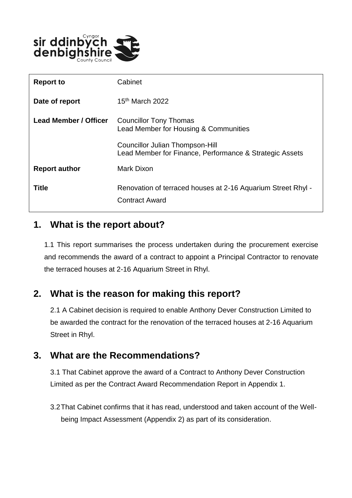

| <b>Report to</b>             | Cabinet                                                                                    |
|------------------------------|--------------------------------------------------------------------------------------------|
| Date of report               | 15 <sup>th</sup> March 2022                                                                |
| <b>Lead Member / Officer</b> | <b>Councillor Tony Thomas</b><br>Lead Member for Housing & Communities                     |
|                              | Councillor Julian Thompson-Hill<br>Lead Member for Finance, Performance & Strategic Assets |
| <b>Report author</b>         | Mark Dixon                                                                                 |
| <b>Title</b>                 | Renovation of terraced houses at 2-16 Aquarium Street Rhyl -<br><b>Contract Award</b>      |

### **1. What is the report about?**

1.1 This report summarises the process undertaken during the procurement exercise and recommends the award of a contract to appoint a Principal Contractor to renovate the terraced houses at 2-16 Aquarium Street in Rhyl.

## **2. What is the reason for making this report?**

2.1 A Cabinet decision is required to enable Anthony Dever Construction Limited to be awarded the contract for the renovation of the terraced houses at 2-16 Aquarium Street in Rhyl.

### **3. What are the Recommendations?**

3.1 That Cabinet approve the award of a Contract to Anthony Dever Construction Limited as per the Contract Award Recommendation Report in Appendix 1.

3.2That Cabinet confirms that it has read, understood and taken account of the Wellbeing Impact Assessment (Appendix 2) as part of its consideration.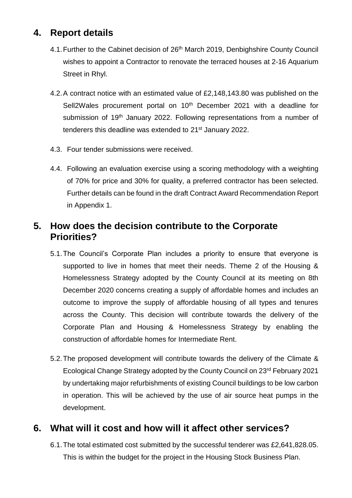# **4. Report details**

- 4.1. Further to the Cabinet decision of 26<sup>th</sup> March 2019, Denbighshire County Council wishes to appoint a Contractor to renovate the terraced houses at 2-16 Aquarium Street in Rhyl.
- 4.2.A contract notice with an estimated value of £2,148,143.80 was published on the Sell2Wales procurement portal on 10<sup>th</sup> December 2021 with a deadline for submission of 19<sup>th</sup> January 2022. Following representations from a number of tenderers this deadline was extended to 21<sup>st</sup> January 2022.
- 4.3. Four tender submissions were received.
- 4.4. Following an evaluation exercise using a scoring methodology with a weighting of 70% for price and 30% for quality, a preferred contractor has been selected. Further details can be found in the draft Contract Award Recommendation Report in Appendix 1.

### **5. How does the decision contribute to the Corporate Priorities?**

- 5.1.The Council's Corporate Plan includes a priority to ensure that everyone is supported to live in homes that meet their needs. Theme 2 of the Housing & Homelessness Strategy adopted by the County Council at its meeting on 8th December 2020 concerns creating a supply of affordable homes and includes an outcome to improve the supply of affordable housing of all types and tenures across the County. This decision will contribute towards the delivery of the Corporate Plan and Housing & Homelessness Strategy by enabling the construction of affordable homes for Intermediate Rent.
- 5.2.The proposed development will contribute towards the delivery of the Climate & Ecological Change Strategy adopted by the County Council on 23rd February 2021 by undertaking major refurbishments of existing Council buildings to be low carbon in operation. This will be achieved by the use of air source heat pumps in the development.

## **6. What will it cost and how will it affect other services?**

6.1.The total estimated cost submitted by the successful tenderer was £2,641,828.05. This is within the budget for the project in the Housing Stock Business Plan.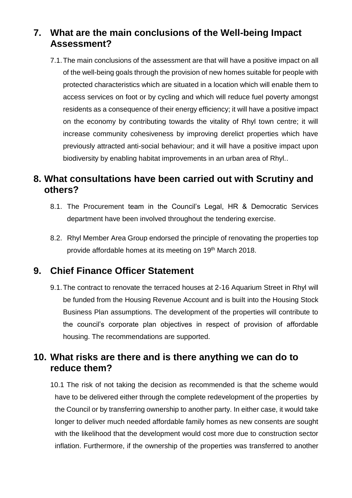# **7. What are the main conclusions of the Well-being Impact Assessment?**

7.1.The main conclusions of the assessment are that will have a positive impact on all of the well-being goals through the provision of new homes suitable for people with protected characteristics which are situated in a location which will enable them to access services on foot or by cycling and which will reduce fuel poverty amongst residents as a consequence of their energy efficiency; it will have a positive impact on the economy by contributing towards the vitality of Rhyl town centre; it will increase community cohesiveness by improving derelict properties which have previously attracted anti-social behaviour; and it will have a positive impact upon biodiversity by enabling habitat improvements in an urban area of Rhyl..

### **8. What consultations have been carried out with Scrutiny and others?**

- 8.1. The Procurement team in the Council's Legal, HR & Democratic Services department have been involved throughout the tendering exercise.
- 8.2. Rhyl Member Area Group endorsed the principle of renovating the properties top provide affordable homes at its meeting on 19<sup>th</sup> March 2018.

### **9. Chief Finance Officer Statement**

9.1.The contract to renovate the terraced houses at 2-16 Aquarium Street in Rhyl will be funded from the Housing Revenue Account and is built into the Housing Stock Business Plan assumptions. The development of the properties will contribute to the council's corporate plan objectives in respect of provision of affordable housing. The recommendations are supported.

### **10. What risks are there and is there anything we can do to reduce them?**

10.1 The risk of not taking the decision as recommended is that the scheme would have to be delivered either through the complete redevelopment of the properties by the Council or by transferring ownership to another party. In either case, it would take longer to deliver much needed affordable family homes as new consents are sought with the likelihood that the development would cost more due to construction sector inflation. Furthermore, if the ownership of the properties was transferred to another